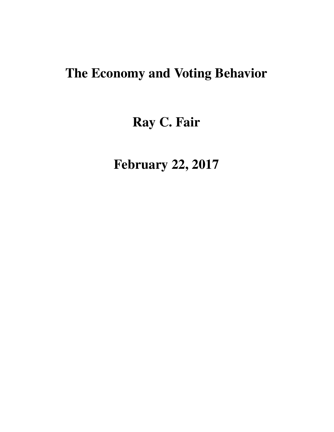# The Economy and Voting Behavior

# Ray C. Fair

February 22, 2017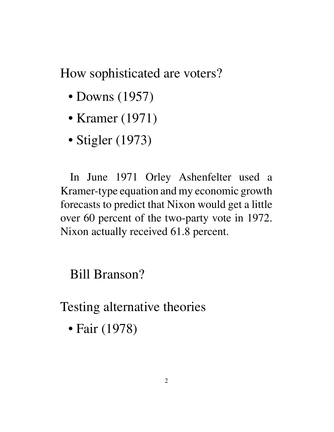How sophisticated are voters?

- Downs (1957)
- Kramer (1971)
- Stigler (1973)

In June 1971 Orley Ashenfelter used a Kramer-type equation and my economic growth forecasts to predict that Nixon would get a little over 60 percent of the two-party vote in 1972. Nixon actually received 61.8 percent.

Bill Branson?

Testing alternative theories

• Fair (1978)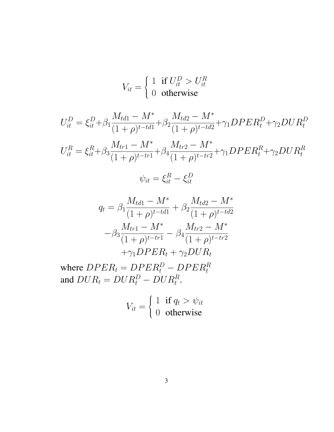$$
V_{it} = \begin{cases} 1 & \text{if } U_{it}^{D} > U_{it}^{R} \\ 0 & \text{otherwise} \end{cases}
$$

$$
U_{it}^{D} = \xi_{it}^{D} + \beta_1 \frac{M_{td1} - M^*}{(1 + \rho)^{t - td1}} + \beta_2 \frac{M_{td2} - M^*}{(1 + \rho)^{t - td2}} + \gamma_1 DPER_t^D + \gamma_2 DUR_t^D
$$

$$
U_{it}^{R} = \xi_{it}^{R} + \beta_3 \frac{M_{tr1} - M^*}{(1 + \rho)^{t - tr1}} + \beta_4 \frac{M_{tr2} - M^*}{(1 + \rho)^{t - tr2}} + \gamma_1 DPER_t^R + \gamma_2 DUR_t^R
$$

$$
\psi_{it} = \xi_{it}^R - \xi_{it}^D
$$

$$
q_{t} = \beta_{1} \frac{M_{td1} - M^{*}}{(1 + \rho)^{t - td1}} + \beta_{2} \frac{M_{td2} - M^{*}}{(1 + \rho)^{t - td2}}
$$

$$
-\beta_{3} \frac{M_{tr1} - M^{*}}{(1 + \rho)^{t - tr1}} - \beta_{4} \frac{M_{tr2} - M^{*}}{(1 + \rho)^{t - tr2}}
$$

$$
+\gamma_{1} DPER_{t} + \gamma_{2} DUR_{t}
$$

where  $DPER_t = DPER_t^D - DPER_t^R$ and  $DUR_t = DUR_t^D - DUR_t^R$ .

$$
V_{it} = \begin{cases} 1 & \text{if } q_t > \psi_{it} \\ 0 & \text{otherwise} \end{cases}
$$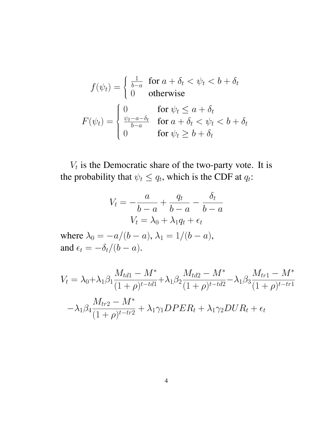$$
f(\psi_t) = \begin{cases} \frac{1}{b-a} & \text{for } a + \delta_t < \psi_t < b + \delta_t \\ 0 & \text{otherwise} \end{cases}
$$

$$
F(\psi_t) = \begin{cases} 0 & \text{for } \psi_t \le a + \delta_t \\ \frac{\psi_t - a - \delta_t}{b-a} & \text{for } a + \delta_t < \psi_t < b + \delta_t \\ 0 & \text{for } \psi_t \ge b + \delta_t \end{cases}
$$

 $V_t$  is the Democratic share of the two-party vote. It is the probability that  $\psi_t \leq q_t$ , which is the CDF at  $q_t$ :

$$
V_t = -\frac{a}{b-a} + \frac{q_t}{b-a} - \frac{\delta_t}{b-a}
$$

$$
V_t = \lambda_0 + \lambda_1 q_t + \epsilon_t
$$

where  $\lambda_0 = -a/(b - a)$ ,  $\lambda_1 = 1/(b - a)$ , and  $\epsilon_t = -\delta_t/(b - a)$ .

$$
V_t = \lambda_0 + \lambda_1 \beta_1 \frac{M_{td1} - M^*}{(1 + \rho)^{t - td1}} + \lambda_1 \beta_2 \frac{M_{td2} - M^*}{(1 + \rho)^{t - td2}} - \lambda_1 \beta_3 \frac{M_{tr1} - M^*}{(1 + \rho)^{t - tr1}}
$$

$$
-\lambda_1 \beta_4 \frac{M_{tr2} - M^*}{(1 + \rho)^{t - tr2}} + \lambda_1 \gamma_1 DPER_t + \lambda_1 \gamma_2 DUR_t + \epsilon_t
$$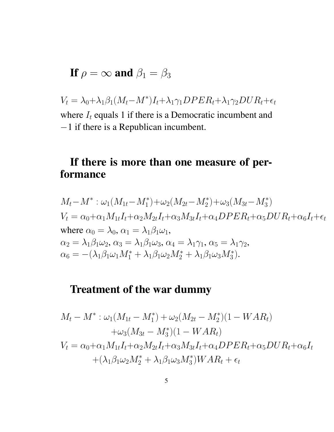If 
$$
\rho = \infty
$$
 and  $\beta_1 = \beta_3$ 

 $V_t = \lambda_0 + \lambda_1 \beta_1 (M_t - M^*) I_t + \lambda_1 \gamma_1 DPER_t + \lambda_1 \gamma_2 DUR_t + \epsilon_t$ where  $I_t$  equals 1 if there is a Democratic incumbent and −1 if there is a Republican incumbent.

# If there is more than one measure of performance

$$
M_t - M^* : \omega_1(M_{1t} - M_1^*) + \omega_2(M_{2t} - M_2^*) + \omega_3(M_{3t} - M_3^*)
$$
  
\n
$$
V_t = \alpha_0 + \alpha_1 M_{1t} I_t + \alpha_2 M_{2t} I_t + \alpha_3 M_{3t} I_t + \alpha_4 DPER_t + \alpha_5 DUR_t + \alpha_6 I_t + \epsilon_t
$$
  
\nwhere  $\alpha_0 = \lambda_0, \alpha_1 = \lambda_1 \beta_1 \omega_1,$   
\n
$$
\alpha_2 = \lambda_1 \beta_1 \omega_2, \alpha_3 = \lambda_1 \beta_1 \omega_3, \alpha_4 = \lambda_1 \gamma_1, \alpha_5 = \lambda_1 \gamma_2,
$$
  
\n
$$
\alpha_6 = -(\lambda_1 \beta_1 \omega_1 M_1^* + \lambda_1 \beta_1 \omega_2 M_2^* + \lambda_1 \beta_1 \omega_3 M_3^*).
$$

## Treatment of the war dummy

$$
M_t - M^* : \omega_1(M_{1t} - M_1^*) + \omega_2(M_{2t} - M_2^*)(1 - WAR_t)
$$
  
+
$$
\omega_3(M_{3t} - M_3^*)(1 - WAR_t)
$$
  

$$
V_t = \alpha_0 + \alpha_1 M_{1t} I_t + \alpha_2 M_{2t} I_t + \alpha_3 M_{3t} I_t + \alpha_4 DPER_t + \alpha_5 DUR_t + \alpha_6 I_t
$$
  
+
$$
(\lambda_1 \beta_1 \omega_2 M_2^* + \lambda_1 \beta_1 \omega_3 M_3^*) WAR_t + \epsilon_t
$$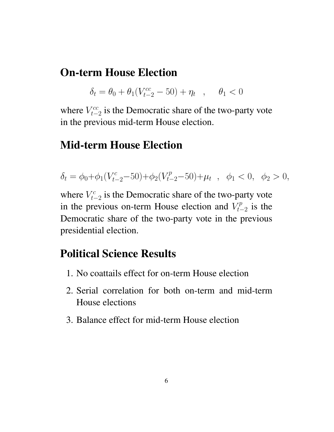### On-term House Election

$$
\delta_t = \theta_0 + \theta_1(V_{t-2}^{cc} - 50) + \eta_t \quad , \quad \theta_1 < 0
$$

where  $V_{t-}^{cc}$  $t_{t-2}^{ccc}$  is the Democratic share of the two-party vote in the previous mid-term House election.

### Mid-term House Election

$$
\delta_t = \phi_0 + \phi_1 (V_{t-2}^c - 50) + \phi_2 (V_{t-2}^p - 50) + \mu_t \ , \ \ \phi_1 < 0, \ \ \phi_2 > 0,
$$

where  $V_t^c$  $t_{t-2}^c$  is the Democratic share of the two-party vote in the previous on-term House election and  $V_{t-}^p$  $t_{t-2}^{rp}$  is the Democratic share of the two-party vote in the previous presidential election.

## Political Science Results

- 1. No coattails effect for on-term House election
- 2. Serial correlation for both on-term and mid-term House elections
- 3. Balance effect for mid-term House election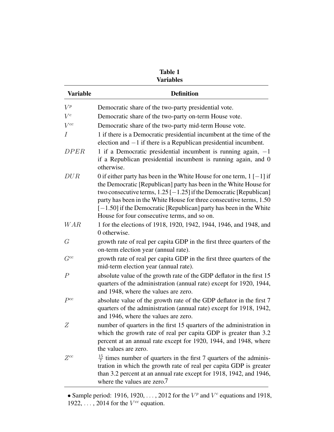|                 | <b>Variables</b>                                                                                                                                                                                                                                                                                                                                                                                                        |
|-----------------|-------------------------------------------------------------------------------------------------------------------------------------------------------------------------------------------------------------------------------------------------------------------------------------------------------------------------------------------------------------------------------------------------------------------------|
| <b>Variable</b> | <b>Definition</b>                                                                                                                                                                                                                                                                                                                                                                                                       |
| $V^p$           | Democratic share of the two-party presidential vote.                                                                                                                                                                                                                                                                                                                                                                    |
| $V^c$           | Democratic share of the two-party on-term House vote.                                                                                                                                                                                                                                                                                                                                                                   |
| $V^{cc}$        | Democratic share of the two-party mid-term House vote.                                                                                                                                                                                                                                                                                                                                                                  |
| Ι               | 1 if there is a Democratic presidential incumbent at the time of the<br>election and $-1$ if there is a Republican presidential incumbent.                                                                                                                                                                                                                                                                              |
| <b>DPER</b>     | 1 if a Democratic presidential incumbent is running again, $-1$<br>if a Republican presidential incumbent is running again, and 0<br>otherwise.                                                                                                                                                                                                                                                                         |
| DUR             | 0 if either party has been in the White House for one term, $1$ [-1] if<br>the Democratic [Republican] party has been in the White House for<br>two consecutive terms, $1.25$ [ $-1.25$ ] if the Democratic [Republican]<br>party has been in the White House for three consecutive terms, 1.50<br>$[-1.50]$ if the Democratic [Republican] party has been in the White<br>House for four consecutive terms, and so on. |
| <b>WAR</b>      | 1 for the elections of 1918, 1920, 1942, 1944, 1946, and 1948, and<br>0 otherwise.                                                                                                                                                                                                                                                                                                                                      |
| G               | growth rate of real per capita GDP in the first three quarters of the<br>on-term election year (annual rate).                                                                                                                                                                                                                                                                                                           |
| $G^{cc}$        | growth rate of real per capita GDP in the first three quarters of the<br>mid-term election year (annual rate).                                                                                                                                                                                                                                                                                                          |
| $\overline{P}$  | absolute value of the growth rate of the GDP deflator in the first 15<br>quarters of the administration (annual rate) except for 1920, 1944,<br>and 1948, where the values are zero.                                                                                                                                                                                                                                    |
| $P^{cc}$        | absolute value of the growth rate of the GDP deflator in the first 7<br>quarters of the administration (annual rate) except for 1918, 1942,<br>and 1946, where the values are zero.                                                                                                                                                                                                                                     |
| Ζ               | number of quarters in the first 15 quarters of the administration in<br>which the growth rate of real per capita GDP is greater than 3.2<br>percent at an annual rate except for 1920, 1944, and 1948, where<br>the values are zero.                                                                                                                                                                                    |
| $Z^{cc}$        | $\frac{15}{7}$ times number of quarters in the first 7 quarters of the adminis-<br>tration in which the growth rate of real per capita GDP is greater<br>than 3.2 percent at an annual rate except for 1918, 1942, and 1946,<br>where the values are zero.7                                                                                                                                                             |

Table 1

<sup>•</sup> Sample period: 1916, 1920, ..., 2012 for the  $V^p$  and  $V^c$  equations and 1918, 1922,  $\dots$ , 2014 for the  $V^{cc}$  equation.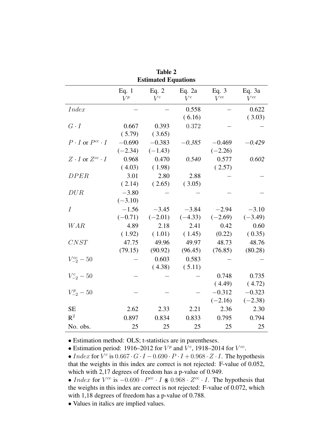|                                 |                  | Table 2<br><b>Estimated Equations</b> |                   |                     |                      |
|---------------------------------|------------------|---------------------------------------|-------------------|---------------------|----------------------|
|                                 | Eq. $1$<br>$V^p$ | Eq. $2$<br>$V^c$                      | Eq. $2a$<br>$V^c$ | Eq. $3$<br>$V^{cc}$ | Eq. $3a$<br>$V^{cc}$ |
| <i>Index</i>                    |                  |                                       | 0.558             |                     | 0.622                |
|                                 |                  |                                       | (6.16)            |                     | (3.03)               |
| $G \cdot I$                     | 0.667            | 0.393                                 | 0.372             |                     |                      |
|                                 | (5.79)           | (3.65)                                |                   |                     |                      |
| $P \cdot I$ or $P^{cc} \cdot I$ | $-0.690$         | $-0.383$                              | $-0.385$          | $-0.469$            | $-0.429$             |
|                                 | $(-2.34)$        | $(-1.43)$                             |                   | $(-2.26)$           |                      |
| $Z \cdot I$ or $Z^{cc} \cdot I$ | 0.968            | 0.470                                 | 0.540             | 0.577               | 0.602                |
|                                 | (4.03)           | (1.98)                                |                   | (2.57)              |                      |
| <b>DPER</b>                     | 3.01             | 2.80                                  | 2.88              |                     |                      |
|                                 | (2.14)           | (2.65)                                | (3.05)            |                     |                      |
| DUR                             | $-3.80$          |                                       |                   |                     |                      |
|                                 | $(-3.10)$        |                                       |                   |                     |                      |
| $\boldsymbol{I}$                | $-1.56$          | $-3.45$                               | $-3.84$           | $-2.94$             | $-3.10$              |
|                                 | $(-0.71)$        | $(-2.01)$                             | $(-4.33)$         | $(-2.69)$           | $(-3.49)$            |
| <b>WAR</b>                      | 4.89             | 2.18                                  | 2.41              | 0.42                | 0.60                 |
|                                 | (1.92)           | (1.01)                                | (1.45)            | (0.22)              | (0.35)               |
| CNST                            | 47.75            | 49.96                                 | 49.97             | 48.73               | 48.76                |
|                                 | (79.15)          | (90.92)                               | (96.45)           | (76.85)             | (80.28)              |
| $V_{-2}^{cc} - 50$              |                  | 0.603                                 | 0.583             |                     |                      |
|                                 |                  | (4.38)                                | (5.11)            |                     |                      |
| $V_{-2}^{c} - 50$               |                  |                                       |                   | 0.748               | 0.735                |
|                                 |                  |                                       |                   | (4.49)              | (4.72)               |
| $V_{-2}^p - 50$                 |                  |                                       |                   | $-0.312$            | $-0.323$             |
|                                 |                  |                                       |                   | $(-2.16)$           | $(-2.38)$            |
| <b>SE</b>                       | 2.62             | 2.33                                  | 2.21              | 2.36                | 2.30                 |
| $R^2$                           | 0.897            | 0.834                                 | 0.833             | 0.795               | 0.794                |
| No. obs.                        | 25               | 25                                    | 25                | 25                  | 25                   |

 $\overline{a}$ 

• Estimation method: OLS; t-statistics are in parentheses.

• Estimation period: 1916–2012 for  $V^p$  and  $V^c$ , 1918–2014 for  $V^{cc}$ .

• Index for  $V^c$  is  $0.667 \cdot G \cdot I - 0.690 \cdot P \cdot I + 0.968 \cdot Z \cdot I$ . The hypothesis that the weights in this index are correct is not rejected: F-value of 0.052, which with 2,17 degrees of freedom has a p-value of 0.949.

• Index for  $V^{cc}$  is  $-0.690 \cdot P^{cc} \cdot I$   $*$  0.968  $\cdot Z^{cc} \cdot I$ . The hypothesis that the weights in this index are correct is not rejected: F-value of 0.072, which with 1,18 degrees of freedom has a p-value of 0.788.

• Values in italics are implied values.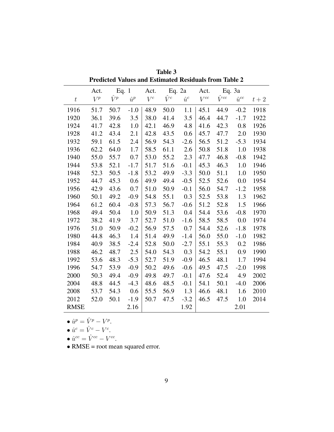|                  | Predicted values and Estimated Residuals from Table 2 |             |             |       |             |             |          |                |                |       |
|------------------|-------------------------------------------------------|-------------|-------------|-------|-------------|-------------|----------|----------------|----------------|-------|
|                  | Act.                                                  |             | Eq. $1$     | Act.  |             | Eq. 2a      | Act.     |                | Eq. 3a         |       |
| $\boldsymbol{t}$ | $V^p$                                                 | $\hat{V}^p$ | $\hat{u}^p$ | $V^c$ | $\hat{V}^c$ | $\hat{u}^c$ | $V^{cc}$ | $\hat{V}^{cc}$ | $\hat{u}^{cc}$ | $t+2$ |
| 1916             | 51.7                                                  | 50.7        | $-1.0$      | 48.9  | 50.0        | 1.1         | 45.1     | 44.9           | $-0.2$         | 1918  |
| 1920             | 36.1                                                  | 39.6        | 3.5         | 38.0  | 41.4        | 3.5         | 46.4     | 44.7           | $-1.7$         | 1922  |
| 1924             | 41.7                                                  | 42.8        | $1.0\,$     | 42.1  | 46.9        | 4.8         | 41.6     | 42.3           | 0.8            | 1926  |
| 1928             | 41.2                                                  | 43.4        | 2.1         | 42.8  | 43.5        | 0.6         | 45.7     | 47.7           | 2.0            | 1930  |
| 1932             | 59.1                                                  | 61.5        | 2.4         | 56.9  | 54.3        | $-2.6$      | 56.5     | 51.2           | $-5.3$         | 1934  |
| 1936             | 62.2                                                  | 64.0        | 1.7         | 58.5  | 61.1        | 2.6         | 50.8     | 51.8           | 1.0            | 1938  |
| 1940             | 55.0                                                  | 55.7        | 0.7         | 53.0  | 55.2        | 2.3         | 47.7     | 46.8           | $-0.8$         | 1942  |
| 1944             | 53.8                                                  | 52.1        | $-1.7$      | 51.7  | 51.6        | $-0.1$      | 45.3     | 46.3           | 1.0            | 1946  |
| 1948             | 52.3                                                  | 50.5        | $-1.8$      | 53.2  | 49.9        | $-3.3$      | 50.0     | 51.1           | 1.0            | 1950  |
| 1952             | 44.7                                                  | 45.3        | 0.6         | 49.9  | 49.4        | $-0.5$      | 52.5     | 52.6           | 0.0            | 1954  |
| 1956             | 42.9                                                  | 43.6        | 0.7         | 51.0  | 50.9        | $-0.1$      | 56.0     | 54.7           | $-1.2$         | 1958  |
| 1960             | 50.1                                                  | 49.2        | $-0.9$      | 54.8  | 55.1        | 0.3         | 52.5     | 53.8           | 1.3            | 1962  |
| 1964             | 61.2                                                  | 60.4        | $-0.8$      | 57.3  | 56.7        | $-0.6$      | 51.2     | 52.8           | 1.5            | 1966  |
| 1968             | 49.4                                                  | 50.4        | 1.0         | 50.9  | 51.3        | 0.4         | 54.4     | 53.6           | $-0.8$         | 1970  |
| 1972             | 38.2                                                  | 41.9        | 3.7         | 52.7  | 51.0        | $-1.6$      | 58.5     | 58.5           | 0.0            | 1974  |
| 1976             | 51.0                                                  | 50.9        | $-0.2$      | 56.9  | 57.5        | 0.7         | 54.4     | 52.6           | $-1.8$         | 1978  |
| 1980             | 44.8                                                  | 46.3        | 1.4         | 51.4  | 49.9        | $-1.4$      | 56.0     | 55.0           | $-1.0$         | 1982  |
| 1984             | 40.9                                                  | 38.5        | $-2.4$      | 52.8  | 50.0        | $-2.7$      | 55.1     | 55.3           | 0.2            | 1986  |
| 1988             | 46.2                                                  | 48.7        | 2.5         | 54.0  | 54.3        | 0.3         | 54.2     | 55.1           | 0.9            | 1990  |
| 1992             | 53.6                                                  | 48.3        | $-5.3$      | 52.7  | 51.9        | $-0.9$      | 46.5     | 48.1           | 1.7            | 1994  |
| 1996             | 54.7                                                  | 53.9        | $-0.9$      | 50.2  | 49.6        | $-0.6$      | 49.5     | 47.5           | $-2.0$         | 1998  |
| 2000             | 50.3                                                  | 49.4        | $-0.9$      | 49.8  | 49.7        | $-0.1$      | 47.6     | 52.4           | 4.9            | 2002  |
| 2004             | 48.8                                                  | 44.5        | $-4.3$      | 48.6  | 48.5        | $-0.1$      | 54.1     | 50.1           | $-4.0$         | 2006  |
| 2008             | 53.7                                                  | 54.3        | 0.6         | 55.5  | 56.9        | 1.3         | 46.6     | 48.1           | 1.6            | 2010  |
| 2012             | 52.0                                                  | 50.1        | $-1.9$      | 50.7  | 47.5        | $-3.2$      | 46.5     | 47.5           | 1.0            | 2014  |
| <b>RMSE</b>      |                                                       |             | 2.16        |       |             | 1.92        |          |                | 2.01           |       |

Table 3 Predicted Values and Estimated Residuals from Table 2

•  $\hat{u}^p = \hat{V}^p - V^p$ .

$$
\bullet \ \hat{u}^c = \hat{V}^c - V^c.
$$

$$
\bullet \ \hat{u}^{cc} = \hat{V}^{cc} - V^{cc}.
$$

• RMSE = root mean squared error.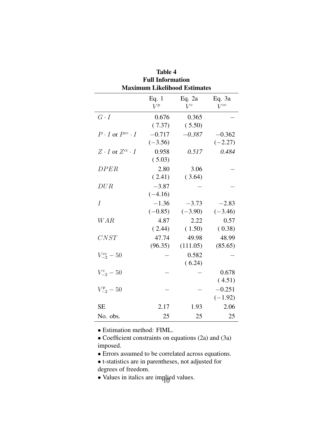| Full Information<br><b>Maximum Likelihood Estimates</b> |                       |                      |                       |  |  |
|---------------------------------------------------------|-----------------------|----------------------|-----------------------|--|--|
|                                                         | Eq. 1<br>$V^p$        | Eq. $2a$<br>$V^c$    | Eq. 3a<br>$V^{cc}$    |  |  |
| $G \cdot I$                                             | 0.676<br>(7.37)       | 0.365<br>(5.50)      |                       |  |  |
| $P \cdot I$ or $P^{cc} \cdot I$                         | $-0.717$<br>$(-3.56)$ | $-0.387$             | $-0.362$<br>$(-2.27)$ |  |  |
| $Z \cdot I$ or $Z^{cc} \cdot I$                         | 0.958<br>(5.03)       | 0.517                | 0.484                 |  |  |
| DPER                                                    | 2.80<br>(2.41)        | 3.06<br>(3.64)       |                       |  |  |
| DUR                                                     | $-3.87$<br>$(-4.16)$  |                      |                       |  |  |
| $\overline{I}$                                          | $-1.36$<br>$(-0.85)$  | $-3.73$<br>$(-3.90)$ | $-2.83$<br>$(-3.46)$  |  |  |
| WAR                                                     | 4.87<br>(2.44)        | 2.22<br>(1.50)       | 0.57<br>(0.38)        |  |  |
| CNST                                                    | 47.74<br>(96.35)      | 49.98<br>(111.05)    | 48.99<br>(85.65)      |  |  |
| $V_{-2}^{cc} - 50$                                      |                       | 0.582<br>(6.24)      |                       |  |  |
| $V_{-2}^c - 50$                                         |                       |                      | 0.678<br>(4.51)       |  |  |
| $V_{-2}^p - 50$                                         |                       |                      | $-0.251$<br>$(-1.92)$ |  |  |
| <b>SE</b>                                               | 2.17                  | 1.93                 | 2.06                  |  |  |
| No. obs.                                                | 25                    | 25                   | 25                    |  |  |

Table 4 Full Information

• Estimation method: FIML.

• Coefficient constraints on equations (2a) and (3a) imposed.

• Errors assumed to be correlated across equations.

- t-statistics are in parentheses, not adjusted for degrees of freedom.
- Values in italics are implied values.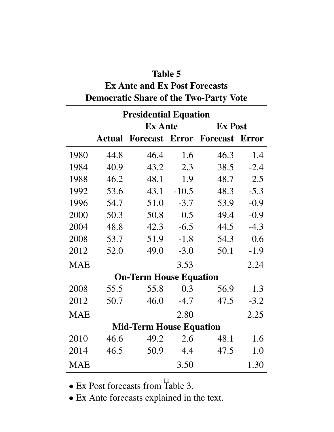#### Table 5

# Ex Ante and Ex Post Forecasts Democratic Share of the Two-Party Vote

|            | <b>Presidential Equation</b> |                                |         |                |              |  |  |  |
|------------|------------------------------|--------------------------------|---------|----------------|--------------|--|--|--|
|            |                              | <b>Ex Ante</b>                 |         | <b>Ex Post</b> |              |  |  |  |
|            | <b>Actual</b>                | <b>Forecast Error Forecast</b> |         |                | <b>Error</b> |  |  |  |
| 1980       | 44.8                         | 46.4                           | 1.6     | 46.3           | 1.4          |  |  |  |
| 1984       | 40.9                         | 43.2                           | 2.3     | 38.5           | $-2.4$       |  |  |  |
| 1988       | 46.2                         | 48.1                           | 1.9     | 48.7           | 2.5          |  |  |  |
| 1992       | 53.6                         | 43.1                           | $-10.5$ | 48.3           | $-5.3$       |  |  |  |
| 1996       | 54.7                         | 51.0                           | $-3.7$  | 53.9           | $-0.9$       |  |  |  |
| 2000       | 50.3                         | 50.8                           | 0.5     | 49.4           | $-0.9$       |  |  |  |
| 2004       | 48.8                         | 42.3                           | $-6.5$  | 44.5           | $-4.3$       |  |  |  |
| 2008       | 53.7                         | 51.9                           | $-1.8$  | 54.3           | 0.6          |  |  |  |
| 2012       | 52.0                         | 49.0                           | $-3.0$  | 50.1           | $-1.9$       |  |  |  |
| <b>MAE</b> |                              |                                | 3.53    |                | 2.24         |  |  |  |
|            |                              | <b>On-Term House Equation</b>  |         |                |              |  |  |  |
| 2008       | 55.5                         | 55.8                           | 0.3     | 56.9           | 1.3          |  |  |  |
| 2012       | 50.7                         | 46.0                           | $-4.7$  | 47.5           | $-3.2$       |  |  |  |
| <b>MAE</b> |                              |                                | 2.80    |                | 2.25         |  |  |  |
|            |                              | <b>Mid-Term House Equation</b> |         |                |              |  |  |  |
| 2010       | 46.6                         | 49.2                           | 2.6     | 48.1           | 1.6          |  |  |  |
| 2014       | 46.5                         | 50.9                           | 4.4     | 47.5           | 1.0          |  |  |  |
| <b>MAE</b> |                              |                                | 3.50    |                | 1.30         |  |  |  |

• Ex Post forecasts from Table 3.

• Ex Ante forecasts explained in the text.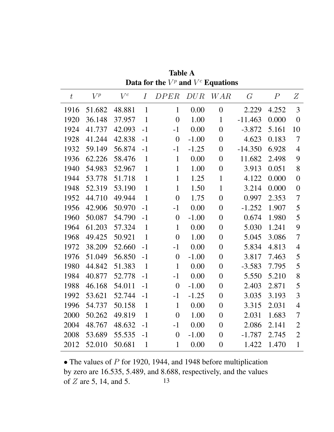| $\bar{t}$ | $V^p$  | $V^c$  | $\overline{I}$ | <i>DPER</i>      | DUR     | <b>WAR</b>     | G         | $\overline{P}$ | Z              |
|-----------|--------|--------|----------------|------------------|---------|----------------|-----------|----------------|----------------|
| 1916      | 51.682 | 48.881 | $\mathbf{1}$   | $\mathbf{1}$     | 0.00    | $\overline{0}$ | 2.229     | 4.252          | 3              |
| 1920      | 36.148 | 37.957 | $\mathbf{1}$   | $\overline{0}$   | 1.00    | 1              | $-11.463$ | 0.000          | $\overline{0}$ |
| 1924      | 41.737 | 42.093 | $-1$           | $-1$             | 0.00    | $\theta$       | $-3.872$  | 5.161          | 10             |
| 1928      | 41.244 | 42.838 | $-1$           | $\overline{0}$   | $-1.00$ | $\overline{0}$ | 4.623     | 0.183          | $\overline{7}$ |
| 1932      | 59.149 | 56.874 | $-1$           | $-1$             | $-1.25$ | $\overline{0}$ | $-14.350$ | 6.928          | $\overline{4}$ |
| 1936      | 62.226 | 58.476 | $\mathbf{1}$   | $\mathbf{1}$     | 0.00    | $\overline{0}$ | 11.682    | 2.498          | 9              |
| 1940      | 54.983 | 52.967 | $\mathbf{1}$   | $\mathbf{1}$     | 1.00    | $\overline{0}$ | 3.913     | 0.051          | 8              |
| 1944      | 53.778 | 51.718 | $\mathbf{1}$   | $\mathbf{1}$     | 1.25    | $\mathbf{1}$   | 4.122     | 0.000          | $\overline{0}$ |
| 1948      | 52.319 | 53.190 | $\mathbf{1}$   | $\mathbf{1}$     | 1.50    | $\mathbf{1}$   | 3.214     | 0.000          | $\overline{0}$ |
| 1952      | 44.710 | 49.944 | $\mathbf{1}$   | $\overline{0}$   | 1.75    | $\overline{0}$ | 0.997     | 2.353          | 7              |
| 1956      | 42.906 | 50.970 | $-1$           | $-1$             | 0.00    | $\overline{0}$ | $-1.252$  | 1.907          | 5              |
| 1960      | 50.087 | 54.790 | $-1$           | $\overline{0}$   | $-1.00$ | $\overline{0}$ | 0.674     | 1.980          | 5              |
| 1964      | 61.203 | 57.324 | $\mathbf{1}$   | $\mathbf{1}$     | 0.00    | $\overline{0}$ | 5.030     | 1.241          | 9              |
| 1968      | 49.425 | 50.921 | $\mathbf{1}$   | $\overline{0}$   | 1.00    | $\overline{0}$ | 5.045     | 3.086          | $\overline{7}$ |
| 1972      | 38.209 | 52.660 | $-1$           | $-1$             | 0.00    | $\overline{0}$ | 5.834     | 4.813          | $\overline{4}$ |
| 1976      | 51.049 | 56.850 | $-1$           | $\boldsymbol{0}$ | $-1.00$ | $\overline{0}$ | 3.817     | 7.463          | 5              |
| 1980      | 44.842 | 51.383 | $\mathbf{1}$   | $\mathbf{1}$     | 0.00    | $\overline{0}$ | $-3.583$  | 7.795          | 5              |
| 1984      | 40.877 | 52.778 | $-1$           | $-1$             | 0.00    | $\overline{0}$ | 5.550     | 5.210          | 8              |
| 1988      | 46.168 | 54.011 | $-1$           | $\overline{0}$   | $-1.00$ | $\overline{0}$ | 2.403     | 2.871          | 5              |
| 1992      | 53.621 | 52.744 | $-1$           | $-1$             | $-1.25$ | $\overline{0}$ | 3.035     | 3.193          | 3              |
| 1996      | 54.737 | 50.158 | $\mathbf{1}$   | $\mathbf{1}$     | 0.00    | $\overline{0}$ | 3.315     | 2.031          | $\overline{4}$ |
| 2000      | 50.262 | 49.819 | $\mathbf{1}$   | $\overline{0}$   | 1.00    | $\overline{0}$ | 2.031     | 1.683          | 7              |
| 2004      | 48.767 | 48.632 | $-1$           | $-1$             | 0.00    | $\overline{0}$ | 2.086     | 2.141          | $\overline{2}$ |
| 2008      | 53.689 | 55.535 | $-1$           | $\overline{0}$   | $-1.00$ | $\overline{0}$ | $-1.787$  | 2.745          | $\overline{2}$ |
| 2012      | 52.010 | 50.681 | $\mathbf{1}$   | $\mathbf{1}$     | 0.00    | $\overline{0}$ | 1.422     | 1.470          | $\mathbf{1}$   |

Table A Data for the  $V^p$  and  $V^c$  Equations

• The values of  $P$  for 1920, 1944, and 1948 before multiplication by zero are 16.535, 5.489, and 8.688, respectively, and the values of  $Z$  are 5, 14, and 5. 13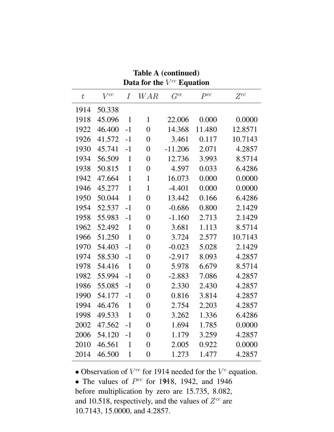|           | Data for the $V^{cc}$ Equation |                |                |           |          |          |  |  |
|-----------|--------------------------------|----------------|----------------|-----------|----------|----------|--|--|
| $\bar{t}$ | $V^{cc}$                       | $\overline{I}$ | <b>WAR</b>     | $G^{cc}$  | $P^{cc}$ | $Z^{cc}$ |  |  |
| 1914      | 50.338                         |                |                |           |          |          |  |  |
| 1918      | 45.096                         | $\mathbf{1}$   | $\mathbf{1}$   | 22.006    | 0.000    | 0.0000   |  |  |
| 1922      | 46.400                         | $-1$           | $\overline{0}$ | 14.368    | 11.480   | 12.8571  |  |  |
| 1926      | 41.572                         | $-1$           | $\overline{0}$ | 3.461     | 0.117    | 10.7143  |  |  |
| 1930      | 45.741                         | $-1$           | $\overline{0}$ | $-11.206$ | 2.071    | 4.2857   |  |  |
| 1934      | 56.509                         | $\mathbf{1}$   | $\overline{0}$ | 12.736    | 3.993    | 8.5714   |  |  |
| 1938      | 50.815                         | $\mathbf{1}$   | $\overline{0}$ | 4.597     | 0.033    | 6.4286   |  |  |
| 1942      | 47.664                         | $\mathbf{1}$   | $\mathbf{1}$   | 16.073    | 0.000    | 0.0000   |  |  |
| 1946      | 45.277                         | $\mathbf{1}$   | $\mathbf{1}$   | $-4.401$  | 0.000    | 0.0000   |  |  |
| 1950      | 50.044                         | $\mathbf{1}$   | $\overline{0}$ | 13.442    | 0.166    | 6.4286   |  |  |
| 1954      | 52.537                         | $-1$           | $\overline{0}$ | $-0.686$  | 0.800    | 2.1429   |  |  |
| 1958      | 55.983                         | $-1$           | $\overline{0}$ | $-1.160$  | 2.713    | 2.1429   |  |  |
| 1962      | 52.492                         | $\mathbf{1}$   | $\overline{0}$ | 3.681     | 1.113    | 8.5714   |  |  |
| 1966      | 51.250                         | $\mathbf{1}$   | $\overline{0}$ | 3.724     | 2.577    | 10.7143  |  |  |
| 1970      | 54.403                         | $-1$           | $\overline{0}$ | $-0.023$  | 5.028    | 2.1429   |  |  |
| 1974      | 58.530                         | $-1$           | $\overline{0}$ | $-2.917$  | 8.093    | 4.2857   |  |  |
| 1978      | 54.416                         | $\mathbf{1}$   | $\overline{0}$ | 5.978     | 6.679    | 8.5714   |  |  |
| 1982      | 55.994                         | $-1$           | $\overline{0}$ | $-2.883$  | 7.086    | 4.2857   |  |  |
| 1986      | 55.085                         | $-1$           | $\overline{0}$ | 2.330     | 2.430    | 4.2857   |  |  |
| 1990      | 54.177                         | $-1$           | $\overline{0}$ | 0.816     | 3.814    | 4.2857   |  |  |
| 1994      | 46.476                         | $\mathbf{1}$   | $\overline{0}$ | 2.754     | 2.203    | 4.2857   |  |  |
| 1998      | 49.533                         | $\mathbf{1}$   | $\overline{0}$ | 3.262     | 1.336    | 6.4286   |  |  |
| 2002      | 47.562                         | $-1$           | $\overline{0}$ | 1.694     | 1.785    | 0.0000   |  |  |
| 2006      | 54.120                         | $-1$           | $\overline{0}$ | 1.179     | 3.259    | 4.2857   |  |  |
| 2010      | 46.561                         | $\mathbf{1}$   | $\overline{0}$ | 2.005     | 0.922    | 0.0000   |  |  |
| 2014      | 46.500                         | $\mathbf{1}$   | $\overline{0}$ | 1.273     | 1.477    | 4.2857   |  |  |

Table A (continued)

• Observation of  $V^{cc}$  for 1914 needed for the  $V^{c}$  equation.

• The values of  $P^{cc}$  for 1948, 1942, and 1946 before multiplication by zero are 15.735, 8.082, and 10.518, respectively, and the values of  $Z^{cc}$  are 10.7143, 15.0000, and 4.2857.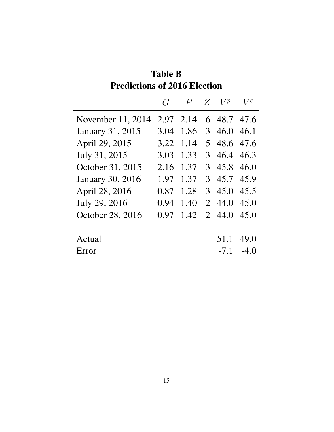| TUMUHUMO VI <i>A</i> VIIV ERUMI |              |                  |                  |        |        |
|---------------------------------|--------------|------------------|------------------|--------|--------|
|                                 | $\mathcal G$ | $\boldsymbol{P}$ | Z                | $V^p$  | $V^c$  |
| November $11, 2014$             | 2.97         | 2.14             |                  | 6 48.7 | 47.6   |
| <b>January 31, 2015</b>         | 3.04         | 1.86             | $\mathfrak{Z}^-$ | 46.0   | 46.1   |
| April 29, 2015                  | 3.22         | 1.14             | 5                | 48.6   | 47.6   |
| July 31, 2015                   | 3.03         | 1.33             | 3                | 46.4   | 46.3   |
| October 31, 2015                | 2.16         | 1.37             | 3                | 45.8   | 46.0   |
| <b>January 30, 2016</b>         | 1.97         | 1.37             | $\mathcal{E}$    | 45.7   | 45.9   |
| April 28, 2016                  | 0.87         | 1.28             | 3                | 45.0   | 45.5   |
| July 29, 2016                   | 0.94         | 1.40             | $\overline{2}$   | 44.0   | 45.0   |
| October 28, 2016                | 0.97         | 1.42             | $\mathcal{L}$    | 44.0   | 45.0   |
| Actual                          |              |                  |                  | 51.1   | 49.0   |
| Error                           |              |                  |                  | $-7.1$ | $-4()$ |
|                                 |              |                  |                  |        |        |

Table B Predictions of 2016 Election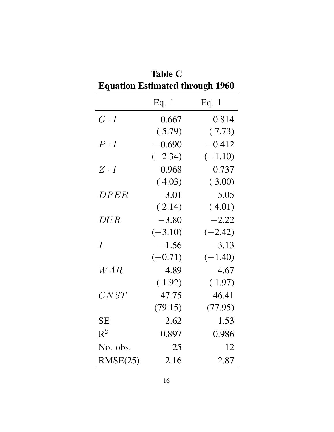| <b>Equation Estimated through 1960</b> |           |           |
|----------------------------------------|-----------|-----------|
|                                        | Eq. $1$   | Eq. $1$   |
| $G \cdot I$                            | 0.667     | 0.814     |
|                                        | (5.79)    | (7.73)    |
| $P \cdot I$                            | $-0.690$  | $-0.412$  |
|                                        | $(-2.34)$ | $(-1.10)$ |
| $Z \cdot I$                            | 0.968     | 0.737     |
|                                        | (4.03)    | (3.00)    |
| DPER                                   | 3.01      | 5.05      |
|                                        | (2.14)    | (4.01)    |
| DUR                                    | $-3.80$   | $-2.22$   |
|                                        | $(-3.10)$ | $(-2.42)$ |
| $\overline{I}$                         | $-1.56$   | $-3.13$   |
|                                        | $(-0.71)$ | $(-1.40)$ |
| W A R                                  | 4.89      | 4.67      |
|                                        | (1.92)    | (1.97)    |
| CNST                                   | 47.75     | 46.41     |
|                                        | (79.15)   | (77.95)   |
| <b>SE</b>                              | 2.62      | 1.53      |
| $\mathsf{R}^2$                         | 0.897     | 0.986     |
| No. obs.                               | 25        | 12        |
| RMSE(25)                               | 2.16      | 2.87      |

| <b>Table C</b>                         |
|----------------------------------------|
| <b>Equation Estimated through 1960</b> |